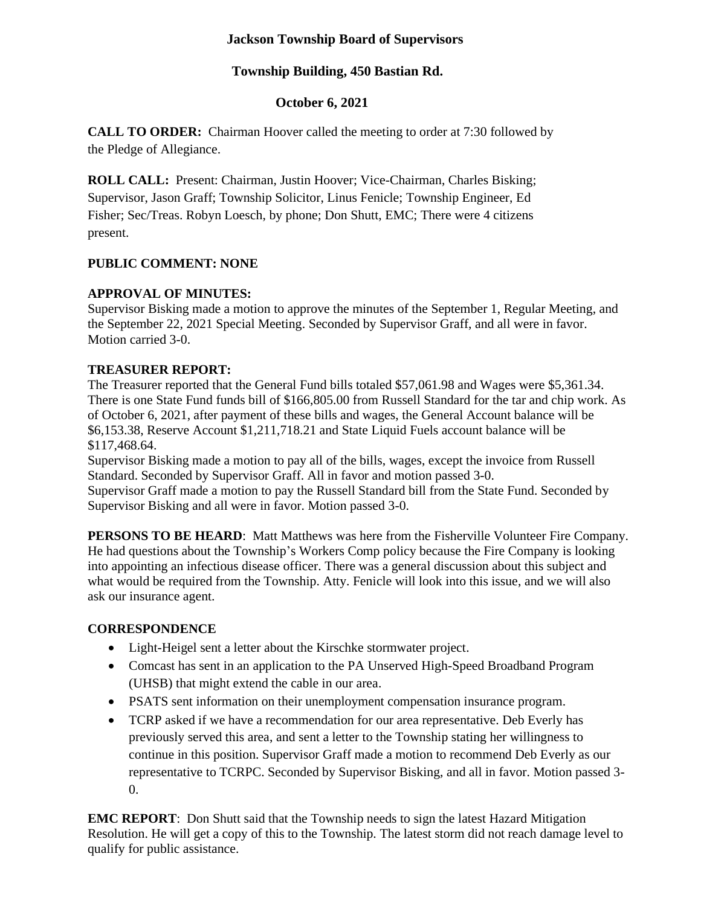### **Jackson Township Board of Supervisors**

#### **Township Building, 450 Bastian Rd.**

### **October 6, 2021**

**CALL TO ORDER:** Chairman Hoover called the meeting to order at 7:30 followed by the Pledge of Allegiance.

**ROLL CALL:** Present: Chairman, Justin Hoover; Vice-Chairman, Charles Bisking; Supervisor, Jason Graff; Township Solicitor, Linus Fenicle; Township Engineer, Ed Fisher; Sec/Treas. Robyn Loesch, by phone; Don Shutt, EMC; There were 4 citizens present.

### **PUBLIC COMMENT: NONE**

### **APPROVAL OF MINUTES:**

Supervisor Bisking made a motion to approve the minutes of the September 1, Regular Meeting, and the September 22, 2021 Special Meeting. Seconded by Supervisor Graff, and all were in favor. Motion carried 3-0.

### **TREASURER REPORT:**

The Treasurer reported that the General Fund bills totaled \$57,061.98 and Wages were \$5,361.34. There is one State Fund funds bill of \$166,805.00 from Russell Standard for the tar and chip work. As of October 6, 2021, after payment of these bills and wages, the General Account balance will be \$6,153.38, Reserve Account \$1,211,718.21 and State Liquid Fuels account balance will be \$117,468.64.

Supervisor Bisking made a motion to pay all of the bills, wages, except the invoice from Russell Standard. Seconded by Supervisor Graff. All in favor and motion passed 3-0. Supervisor Graff made a motion to pay the Russell Standard bill from the State Fund. Seconded by Supervisor Bisking and all were in favor. Motion passed 3-0.

**PERSONS TO BE HEARD:** Matt Matthews was here from the Fisherville Volunteer Fire Company. He had questions about the Township's Workers Comp policy because the Fire Company is looking into appointing an infectious disease officer. There was a general discussion about this subject and what would be required from the Township. Atty. Fenicle will look into this issue, and we will also ask our insurance agent.

### **CORRESPONDENCE**

- Light-Heigel sent a letter about the Kirschke stormwater project.
- Comcast has sent in an application to the PA Unserved High-Speed Broadband Program (UHSB) that might extend the cable in our area.
- PSATS sent information on their unemployment compensation insurance program.
- TCRP asked if we have a recommendation for our area representative. Deb Everly has previously served this area, and sent a letter to the Township stating her willingness to continue in this position. Supervisor Graff made a motion to recommend Deb Everly as our representative to TCRPC. Seconded by Supervisor Bisking, and all in favor. Motion passed 3- 0.

**EMC REPORT**: Don Shutt said that the Township needs to sign the latest Hazard Mitigation Resolution. He will get a copy of this to the Township. The latest storm did not reach damage level to qualify for public assistance.